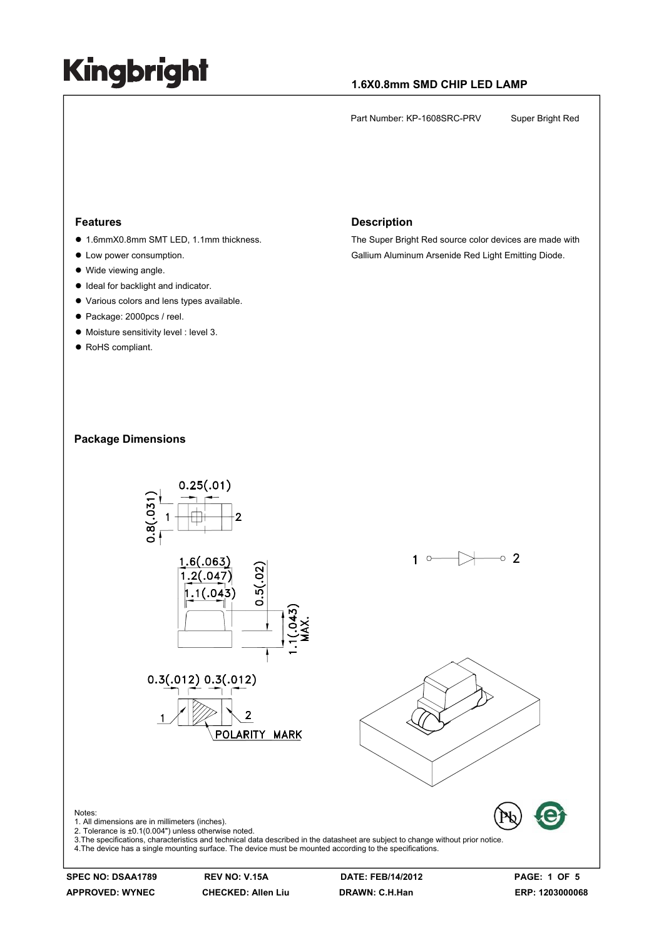### **1.6X0.8mm SMD CHIP LED LAMP**

Part Number: KP-1608SRC-PRV Super Bright Red

#### **Features**

- 1.6mmX0.8mm SMT LED, 1.1mm thickness.
- Low power consumption.
- $\bullet$  Wide viewing angle.
- $\bullet$  Ideal for backlight and indicator.
- $\bullet$  Various colors and lens types available.
- Package: 2000pcs / reel.
- $\bullet$  Moisture sensitivity level : level 3.
- RoHS compliant.

#### **Description**

The Super Bright Red source color devices are made with Gallium Aluminum Arsenide Red Light Emitting Diode.

### **Package Dimensions**



**APPROVED: WYNEC CHECKED: Allen Liu DRAWN: C.H.Han ERP: 1203000068** 

**SPEC NO: DSAA1789 REV NO: V.15A DATE: FEB/14/2012 PAGE: 1 OF 5**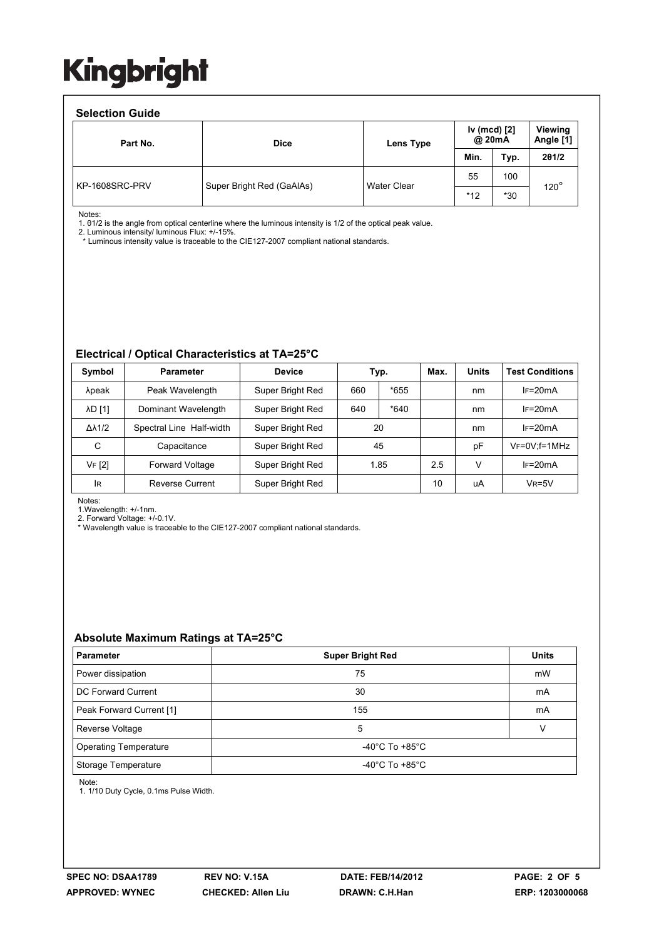#### **Selection Guide**

| ociocion caiuc |                           |                    |                        |       |                      |  |  |  |
|----------------|---------------------------|--------------------|------------------------|-------|----------------------|--|--|--|
| Part No.       | <b>Dice</b>               | Lens Type          | Iv (mcd) [2]<br>@ 20mA |       | Viewing<br>Angle [1] |  |  |  |
|                |                           |                    | Min.                   | Typ.  | 201/2                |  |  |  |
| KP-1608SRC-PRV | Super Bright Red (GaAlAs) | <b>Water Clear</b> | 55                     | 100   | $120^\circ$          |  |  |  |
|                |                           |                    | $*12$                  | $*30$ |                      |  |  |  |

Notes:

1. θ1/2 is the angle from optical centerline where the luminous intensity is 1/2 of the optical peak value.

2. Luminous intensity/ luminous Flux: +/-15%.

\* Luminous intensity value is traceable to the CIE127-2007 compliant national standards.

### **Electrical / Optical Characteristics at TA=25°C**

| Symbol              | <b>Parameter</b>         | <b>Device</b>    | Typ. |        |     |    | Max.                | <b>Units</b> | <b>Test Conditions</b> |
|---------------------|--------------------------|------------------|------|--------|-----|----|---------------------|--------------|------------------------|
| λpeak               | Peak Wavelength          | Super Bright Red | 660  | $*655$ |     | nm | $IF=20mA$           |              |                        |
| <b>AD [1]</b>       | Dominant Wavelength      | Super Bright Red | 640  | $*640$ |     | nm | $IF=20mA$           |              |                        |
| $\Delta\lambda$ 1/2 | Spectral Line Half-width | Super Bright Red | 20   |        |     | nm | $IF=20mA$           |              |                        |
| C                   | Capacitance              | Super Bright Red | 45   |        |     | рF | $V_F = 0V$ ; f=1MHz |              |                        |
| VF [2]              | <b>Forward Voltage</b>   | Super Bright Red | 1.85 |        | 2.5 | v  | $IF=20mA$           |              |                        |
| <b>IR</b>           | Reverse Current          | Super Bright Red |      |        | 10  | uA | $V_R = 5V$          |              |                        |

Notes:

1.Wavelength: +/-1nm.

2. Forward Voltage: +/-0.1V.

\* Wavelength value is traceable to the CIE127-2007 compliant national standards.

### **Absolute Maximum Ratings at TA=25°C**

| <b>Parameter</b>             | <b>Super Bright Red</b>              | <b>Units</b> |  |  |
|------------------------------|--------------------------------------|--------------|--|--|
| Power dissipation            | 75                                   | mW           |  |  |
| DC Forward Current           | 30                                   | mA           |  |  |
| Peak Forward Current [1]     | 155                                  | mA           |  |  |
| Reverse Voltage              | 5                                    | v            |  |  |
| <b>Operating Temperature</b> | -40°C To +85°C                       |              |  |  |
| Storage Temperature          | -40 $^{\circ}$ C To +85 $^{\circ}$ C |              |  |  |

Note:

1. 1/10 Duty Cycle, 0.1ms Pulse Width.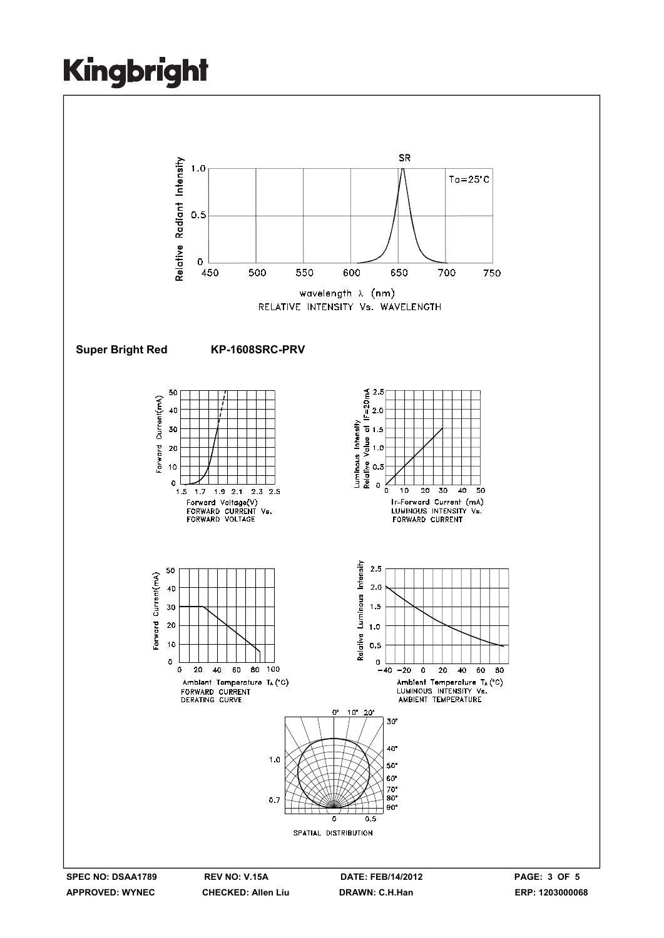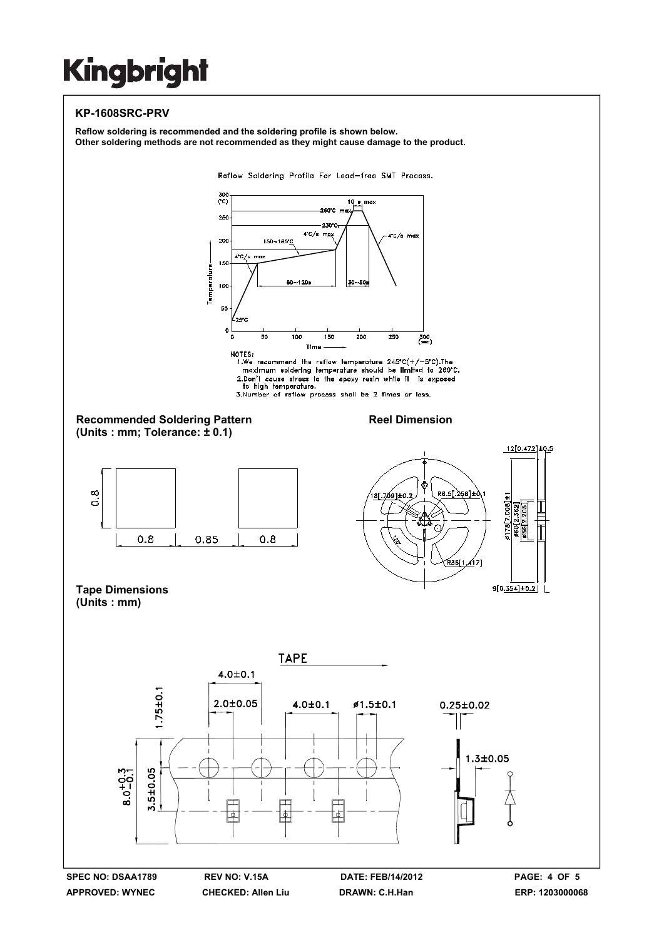### **KP-1608SRC-PRV**

**Reflow soldering is recommended and the soldering profile is shown below. Other soldering methods are not recommended as they might cause damage to the product.**